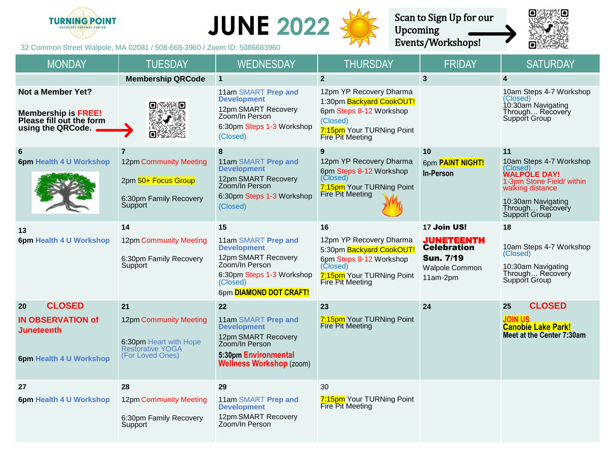



Upcoming



32 Common Street Walpole, MA 02081 / 508-668-3960 / Zoom ID: 5086683960 MONDAY | TUESDAY | WEDNESDAY | THURSDAY | FRIDAY | SATURDAY **Membership QRCode 1 2 3 4 Not a Member Yet?** 11am SMART **Prep and**  12pm YP Recovery Dharma 10am Steps 4-7 Workshop **Development** (Closed) 1:30pm Backyard CookOUT! ο s:Ko 10:30am Navigating 12pm SMART Recovery 6pm Steps 8-12 Workshop Through… Recovery **Membership is FREE!** Zoom/In Person Support Group **Please fill out the form**  (Closed) 6:30pm Steps 1-3 Workshop **using the QRCode.** 7:15pm Your TURNing Point o (Closed) Fire Pit Meeting **6 7 8 9 10 11 6pm Health 4 U Workshop** 12pm Community Meeting 11am SMART **Prep and**  12pm YP Recovery Dharma 10am Steps 4-7 Workshop 6pm **PAINT NIGHT!** (Closed) **Development** 6pm Steps 8-12 Workshop **In-Person WALPOLE DAY!** (Closed) 12pm SMART Recovery 2pm 50+ Focus Group 1-3pm Stone Field/ within Zoom/In Person 7:15pm Your TURNing Point walking distance Fire Pit Meeting 6:30pm Steps 1-3 Workshop 6:30pm Family Recovery 10:30am Navigating **Support** (Closed) Through... Recovery Support Group **<sup>13</sup> <sup>14</sup> <sup>15</sup> <sup>16</sup> <sup>17</sup>**Join US! **<sup>18</sup>** 12pm YP Recovery Dharma **6pm Health 4 U Workshop** 12pm Community Meeting 11am SMART **Prep and**  JUNETEENTH 10am Steps 4-7 Workshop **Development Celebration** 5:30pm Backyard CookOUT! (Closed) 12pm SMART Recovery Sun. 7/19 6:30pm Family Recovery 6pm Steps 8-12 Workshop Zoom/In Person **Support** (Closed) 10:30am Navigating Walpole Common Through… Recovery 6:30pm Steps 1-3 Workshop 7:15pm Your TURNing Point 11am-2pm Support Group (Closed) Fire Pit Meeting 6pm **DIAMOND DOT CRAFT! 20 CLOSED 21 22 23 24 25 CLOSED IN OBSERVATION of**  12pm Community Meeting 11am SMART **Prep and**  7:15pm Your TURNing Point **JOIN US** Fire Pit Meeting **Development Canobie Lake Park! Juneteenth Meet at the Center 7:30am** 12pm SMART Recovery 6:30pm Heart with Hope Zoom/In Person Restorative YOGA **5:30pm Environmental**  (For Loved Ones) **6pm Health 4 U Workshop Wellness Workshop** (zoom) **27 28 29** 30 **6pm Health 4 U Workshop** 12pm Community Meeting 11am SMART **Prep and 7:15pm** Your TURNing Point **Development** Fire Pit Meeting 12pm SMART Recovery 6:30pm Family Recovery Zoom/In Person **Support**